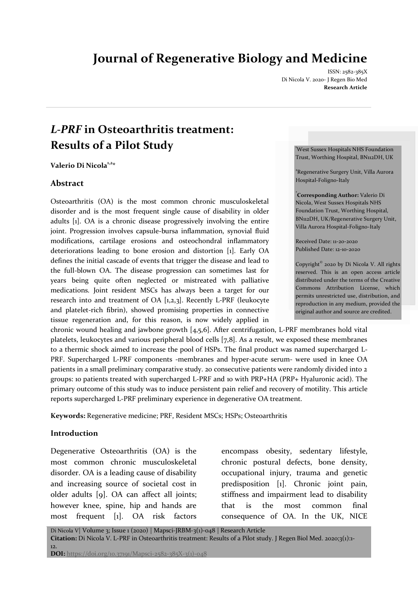# **Journal of Regenerative Biology and Medicine**

ISSN: 2582-385X Di Nicola V. 2020- J Regen Bio Med **Research Article**

# *L-PRF* **in Osteoarthritis treatment: Results of a Pilot Study**

**Valerio Di Nicola1,2 \***

#### **Abstract**

Osteoarthritis (OA) is the most common chronic musculoskeletal disorder and is the most frequent single cause of disability in older adults [1]. OA is a chronic disease progressively involving the entire joint. Progression involves capsule-bursa inflammation, synovial fluid modifications, cartilage erosions and osteochondral inflammatory deteriorations leading to bone erosion and distortion [1]. Early OA defines the initial cascade of events that trigger the disease and lead to the full-blown OA. The disease progression can sometimes last for years being quite often neglected or mistreated with palliative medications. Joint resident MSCs has always been a target for our research into and treatment of OA [1,2,3]. Recently L-PRF (leukocyte and platelet-rich fibrin), showed promising properties in connective tissue regeneration and, for this reason, is now widely applied in

chronic wound healing and jawbone growth [4,5,6]. After centrifugation, L-PRF membranes hold vital platelets, leukocytes and various peripheral blood cells [7,8]. As a result, we exposed these membranes to a thermic shock aimed to increase the pool of HSPs. The final product was named supercharged L-PRF. Supercharged L-PRF components -membranes and hyper-acute serum- were used in knee OA patients in a small preliminary comparative study. 20 consecutive patients were randomly divided into 2 groups: 10 patients treated with supercharged L-PRF and 10 with PRP+HA (PRP+ Hyaluronic acid). The primary outcome of this study was to induce persistent pain relief and recovery of motility. This article reports supercharged L-PRF preliminary experience in degenerative OA treatment.

**Keywords:** Regenerative medicine; PRF, Resident MSCs; HSPs; Osteoarthritis

#### **Introduction**

Degenerative Osteoarthritis (OA) is the most common chronic musculoskeletal disorder. OA is a leading cause of disability and increasing source of societal cost in older adults [9]. OA can affect all joints; however knee, spine, hip and hands are most frequent [1]. OA risk factors

encompass obesity, sedentary lifestyle, chronic postural defects, bone density, occupational injury, trauma and genetic predisposition [1]. Chronic joint pain, stiffness and impairment lead to disability that is the most common final consequence of OA. In the UK, NICE

<sup>1</sup>West Sussex Hospitals NHS Foundation Trust, Worthing Hospital, BN112DH, UK

<sup>2</sup>Regenerative Surgery Unit, Villa Aurora Hospital-Foligno-Italy

**\* Corresponding Author:** Valerio Di Nicola, West Sussex Hospitals NHS Foundation Trust, Worthing Hospital, BN112DH, UK/Regenerative Surgery Unit, Villa Aurora Hospital-Foligno-Italy

Received Date: 11-20-2020 Published Date: 12-10-2020

Copyright© 2020 by Di Nicola V. All rights reserved. This is an open access article distributed under the terms of the Creative Commons Attribution License, which permits unrestricted use, distribution, and reproduction in any medium, provided the original author and source are credited.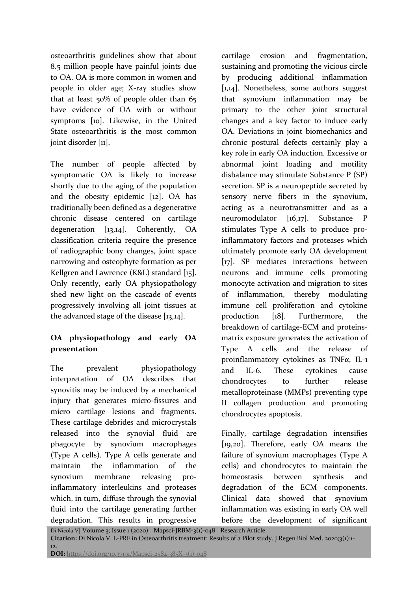osteoarthritis guidelines show that about 8.5 million people have painful joints due to OA. OA is more common in women and people in older age; X-ray studies show that at least 50% of people older than 65 have evidence of OA with or without symptoms [10]. Likewise, in the United State osteoarthritis is the most common joint disorder [11].

The number of people affected by symptomatic OA is likely to increase shortly due to the aging of the population and the obesity epidemic [12]. OA has traditionally been defined as a degenerative chronic disease centered on cartilage degeneration [13,14]. Coherently, OA classification criteria require the presence of radiographic bony changes, joint space narrowing and osteophyte formation as per Kellgren and Lawrence (K&L) standard [15]. Only recently, early OA physiopathology shed new light on the cascade of events progressively involving all joint tissues at the advanced stage of the disease [13,14].

# **OA physiopathology and early OA presentation**

The prevalent physiopathology interpretation of OA describes that synovitis may be induced by a mechanical injury that generates micro-fissures and micro cartilage lesions and fragments. These cartilage debrides and microcrystals released into the synovial fluid are phagocyte by synovium macrophages (Type A cells). Type A cells generate and maintain the inflammation of the synovium membrane releasing proinflammatory interleukins and proteases which, in turn, diffuse through the synovial fluid into the cartilage generating further degradation. This results in progressive

cartilage erosion and fragmentation, sustaining and promoting the vicious circle by producing additional inflammation [1,14]. Nonetheless, some authors suggest that synovium inflammation may be primary to the other joint structural changes and a key factor to induce early OA. Deviations in joint biomechanics and chronic postural defects certainly play a key role in early OA induction. Excessive or abnormal joint loading and motility disbalance may stimulate Substance P (SP) secretion. SP is a neuropeptide secreted by sensory nerve fibers in the synovium, acting as a neurotransmitter and as a neuromodulator [16,17]. Substance P stimulates Type A cells to produce proinflammatory factors and proteases which ultimately promote early OA development [17]. SP mediates interactions between neurons and immune cells promoting monocyte activation and migration to sites of inflammation, thereby modulating immune cell proliferation and cytokine production [18]. Furthermore, the breakdown of cartilage-ECM and proteinsmatrix exposure generates the activation of Type A cells and the release of proinflammatory cytokines as TNFα, IL-1 and IL-6. These cytokines cause chondrocytes to further release metalloproteinase (MMPs) preventing type II collagen production and promoting chondrocytes apoptosis.

Finally, cartilage degradation intensifies [19,20]. Therefore, early OA means the failure of synovium macrophages (Type A cells) and chondrocytes to maintain the homeostasis between synthesis and degradation of the ECM components. Clinical data showed that synovium inflammation was existing in early OA well before the development of significant

Di Nicola V| Volume 3; Issue 1 (2020) | Mapsci-JRBM-3(1)-048 | Research Article **Citation:** Di Nicola V. L-PRF in Osteoarthritis treatment: Results of a Pilot study. J Regen Biol Med. 2020;3(1):1- 12. **DOI:** https://doi.org/10.37191/Mapsci-2582-385X-3(1)-048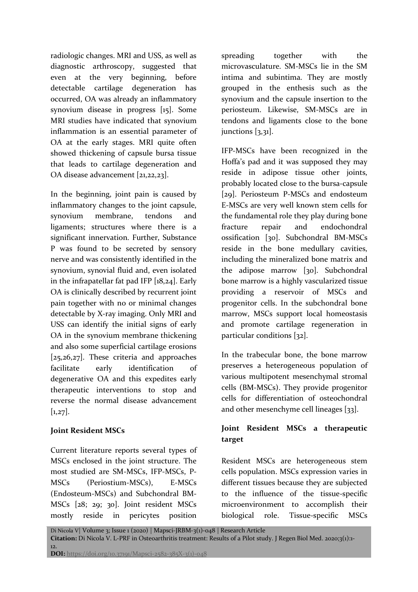radiologic changes. MRI and USS, as well as diagnostic arthroscopy, suggested that even at the very beginning, before detectable cartilage degeneration has occurred, OA was already an inflammatory synovium disease in progress [15]. Some MRI studies have indicated that synovium inflammation is an essential parameter of OA at the early stages. MRI quite often showed thickening of capsule bursa tissue that leads to cartilage degeneration and OA disease advancement [21,22,23].

In the beginning, joint pain is caused by inflammatory changes to the joint capsule, synovium membrane, tendons and ligaments; structures where there is a significant innervation. Further, Substance P was found to be secreted by sensory nerve and was consistently identified in the synovium, synovial fluid and, even isolated in the infrapatellar fat pad IFP [18,24]. Early OA is clinically described by recurrent joint pain together with no or minimal changes detectable by X-ray imaging. Only MRI and USS can identify the initial signs of early OA in the synovium membrane thickening and also some superficial cartilage erosions [25,26,27]. These criteria and approaches facilitate early identification of degenerative OA and this expedites early therapeutic interventions to stop and reverse the normal disease advancement  $[1,27]$ .

## **Joint Resident MSCs**

Current literature reports several types of MSCs enclosed in the joint structure. The most studied are SM-MSCs, IFP-MSCs, P-MSCs (Periostium-MSCs), E-MSCs (Endosteum-MSCs) and Subchondral BM-MSCs [28; 29; 30]. Joint resident MSCs mostly reside in pericytes position

spreading together with the microvasculature. SM-MSCs lie in the SM intima and subintima. They are mostly grouped in the enthesis such as the synovium and the capsule insertion to the periosteum. Likewise, SM-MSCs are in tendons and ligaments close to the bone junctions [3,31].

IFP-MSCs have been recognized in the Hoffa's pad and it was supposed they may reside in adipose tissue other joints, probably located close to the bursa-capsule [29]. Periosteum P-MSCs and endosteum E-MSCs are very well known stem cells for the fundamental role they play during bone fracture repair and endochondral ossification [30]. Subchondral BM-MSCs reside in the bone medullary cavities, including the mineralized bone matrix and the adipose marrow [30]. Subchondral bone marrow is a highly vascularized tissue providing a reservoir of MSCs and progenitor cells. In the subchondral bone marrow, MSCs support local homeostasis and promote cartilage regeneration in particular conditions [32].

In the trabecular bone, the bone marrow preserves a heterogeneous population of various multipotent mesenchymal stromal cells (BM-MSCs). They provide progenitor cells for differentiation of osteochondral and other mesenchyme cell lineages [33].

# **Joint Resident MSCs a therapeutic target**

Resident MSCs are heterogeneous stem cells population. MSCs expression varies in different tissues because they are subjected to the influence of the tissue-specific microenvironment to accomplish their biological role. Tissue-specific MSCs

Di Nicola V| Volume 3; Issue 1 (2020) | Mapsci-JRBM-3(1)-048 | Research Article **Citation:** Di Nicola V. L-PRF in Osteoarthritis treatment: Results of a Pilot study. J Regen Biol Med. 2020;3(1):1- 12. **DOI:** https://doi.org/10.37191/Mapsci-2582-385X-3(1)-048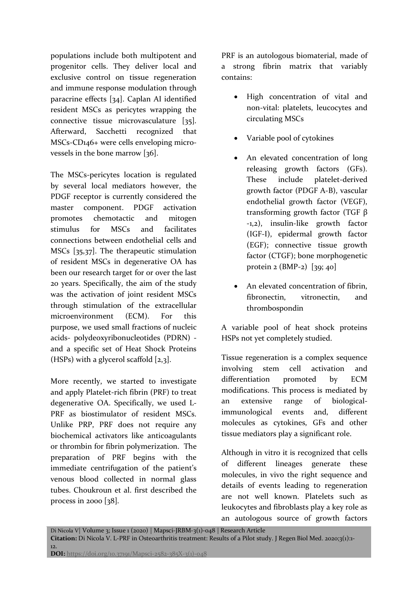populations include both multipotent and progenitor cells. They deliver local and exclusive control on tissue regeneration and immune response modulation through paracrine effects [34]. Caplan AI identified resident MSCs as pericytes wrapping the connective tissue microvasculature [35]. Afterward, Sacchetti recognized that MSCs-CD146+ were cells enveloping microvessels in the bone marrow [36].

The MSCs-pericytes location is regulated by several local mediators however, the PDGF receptor is currently considered the master component. PDGF activation promotes chemotactic and mitogen stimulus for MSCs and facilitates connections between endothelial cells and MSCs [35,37]. The therapeutic stimulation of resident MSCs in degenerative OA has been our research target for or over the last 20 years. Specifically, the aim of the study was the activation of joint resident MSCs through stimulation of the extracellular microenvironment (ECM). For this purpose, we used small fractions of nucleic acids- polydeoxyribonucleotides (PDRN) and a specific set of Heat Shock Proteins (HSPs) with a glycerol scaffold  $[2,3]$ .

More recently, we started to investigate and apply Platelet-rich fibrin (PRF) to treat degenerative OA. Specifically, we used L-PRF as biostimulator of resident MSCs. Unlike PRP, PRF does not require any biochemical activators like anticoagulants or thrombin for fibrin polymerization. The preparation of PRF begins with the immediate centrifugation of the patient's venous blood collected in normal glass tubes. Choukroun et al. first described the process in 2000  $[38]$ .

PRF is an autologous biomaterial, made of a strong fibrin matrix that variably contains:

- High concentration of vital and non-vital: platelets, leucocytes and circulating MSCs
- Variable pool of cytokines
- An elevated concentration of long releasing growth factors (GFs). These include platelet-derived growth factor (PDGF A-B), vascular endothelial growth factor (VEGF), transforming growth factor (TGF β -1,2), insulin-like growth factor (IGF-I), epidermal growth factor (EGF); connective tissue growth factor (CTGF); bone morphogenetic protein 2 (BMP-2) [39; 40]
- An elevated concentration of fibrin, fibronectin, vitronectin, and thrombospondin

A variable pool of heat shock proteins HSPs not yet completely studied.

Tissue regeneration is a complex sequence involving stem cell activation and differentiation promoted by ECM modifications. This process is mediated by an extensive range of biologicalimmunological events and, different molecules as cytokines, GFs and other tissue mediators play a significant role.

Although in vitro it is recognized that cells of different lineages generate these molecules, in vivo the right sequence and details of events leading to regeneration are not well known. Platelets such as leukocytes and fibroblasts play a key role as an autologous source of growth factors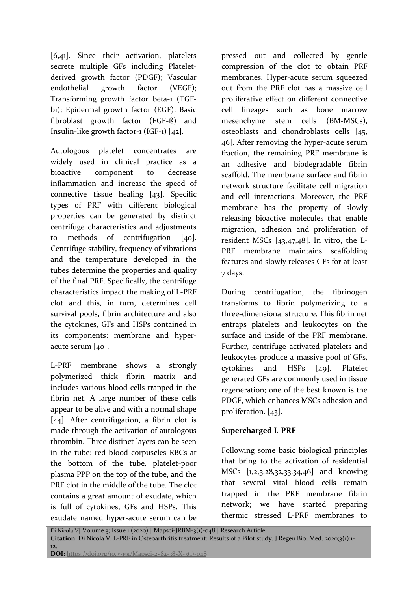[6,41]. Since their activation, platelets secrete multiple GFs including Plateletderived growth factor (PDGF); Vascular endothelial growth factor (VEGF); Transforming growth factor beta-1 (TGFb1); Epidermal growth factor (EGF); Basic fibroblast growth factor (FGF-ß) and Insulin-like growth factor-1 (IGF-1) [42].

Autologous platelet concentrates are widely used in clinical practice as a bioactive component to decrease inflammation and increase the speed of connective tissue healing [43]. Specific types of PRF with different biological properties can be generated by distinct centrifuge characteristics and adjustments to methods of centrifugation [40]. Centrifuge stability, frequency of vibrations and the temperature developed in the tubes determine the properties and quality of the final PRF. Specifically, the centrifuge characteristics impact the making of L-PRF clot and this, in turn, determines cell survival pools, fibrin architecture and also the cytokines, GFs and HSPs contained in its components: membrane and hyperacute serum [40].

L-PRF membrane shows a strongly polymerized thick fibrin matrix and includes various blood cells trapped in the fibrin net. A large number of these cells appear to be alive and with a normal shape [44]. After centrifugation, a fibrin clot is made through the activation of autologous thrombin. Three distinct layers can be seen in the tube: red blood corpuscles RBCs at the bottom of the tube, platelet-poor plasma PPP on the top of the tube, and the PRF clot in the middle of the tube. The clot contains a great amount of exudate, which is full of cytokines, GFs and HSPs. This exudate named hyper-acute serum can be pressed out and collected by gentle compression of the clot to obtain PRF membranes. Hyper-acute serum squeezed out from the PRF clot has a massive cell proliferative effect on different connective cell lineages such as bone marrow mesenchyme stem cells (BM-MSCs), osteoblasts and chondroblasts cells [45, 46]. After removing the hyper-acute serum fraction, the remaining PRF membrane is an adhesive and biodegradable fibrin scaffold. The membrane surface and fibrin network structure facilitate cell migration and cell interactions. Moreover, the PRF membrane has the property of slowly releasing bioactive molecules that enable migration, adhesion and proliferation of resident MSCs [43,47,48]. In vitro, the L-PRF membrane maintains scaffolding features and slowly releases GFs for at least 7 days.

During centrifugation, the fibrinogen transforms to fibrin polymerizing to a three-dimensional structure. This fibrin net entraps platelets and leukocytes on the surface and inside of the PRF membrane. Further, centrifuge activated platelets and leukocytes produce a massive pool of GFs, cytokines and HSPs [49]. Platelet generated GFs are commonly used in tissue regeneration; one of the best known is the PDGF, which enhances MSCs adhesion and proliferation. [43].

### **Supercharged L-PRF**

Following some basic biological principles that bring to the activation of residential MSCs [1,2,3,28,32,33,34,46] and knowing that several vital blood cells remain trapped in the PRF membrane fibrin network; we have started preparing thermic stressed L-PRF membranes to

Di Nicola V| Volume 3; Issue 1 (2020) | Mapsci-JRBM-3(1)-048 | Research Article **Citation:** Di Nicola V. L-PRF in Osteoarthritis treatment: Results of a Pilot study. J Regen Biol Med. 2020;3(1):1- 12. **DOI:** https://doi.org/10.37191/Mapsci-2582-385X-3(1)-048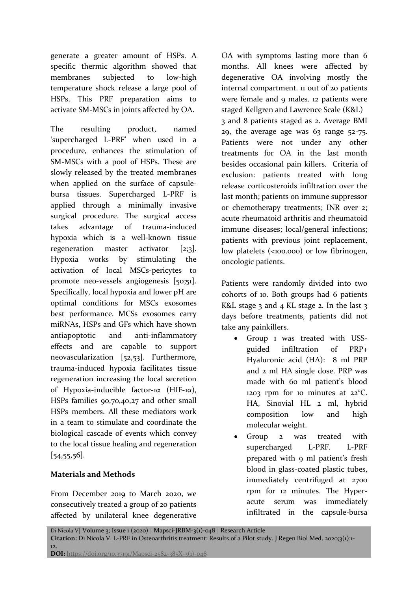generate a greater amount of HSPs. A specific thermic algorithm showed that membranes subjected to low-high temperature shock release a large pool of HSPs. This PRF preparation aims to activate SM-MSCs in joints affected by OA.

The resulting product, named 'supercharged L-PRF' when used in a procedure, enhances the stimulation of SM-MSCs with a pool of HSPs. These are slowly released by the treated membranes when applied on the surface of capsulebursa tissues. Supercharged L-PRF is applied through a minimally invasive surgical procedure. The surgical access takes advantage of trauma-induced hypoxia which is a well-known tissue regeneration master activator [2;3]. Hypoxia works by stimulating the activation of local MSCs-pericytes to promote neo-vessels angiogenesis [50;51]. Specifically, local hypoxia and lower pH are optimal conditions for MSCs exosomes best performance. MCSs exosomes carry miRNAs, HSPs and GFs which have shown antiapoptotic and anti-inflammatory effects and are capable to support neovascularization [52,53]. Furthermore, trauma-induced hypoxia facilitates tissue regeneration increasing the local secretion of Hypoxia-inducible factor-1α (HIF-1α), HSPs families 90,70,40,27 and other small HSPs members. All these mediators work in a team to stimulate and coordinate the biological cascade of events which convey to the local tissue healing and regeneration [54,55,56].

### **Materials and Methods**

From December 2019 to March 2020, we consecutively treated a group of 20 patients affected by unilateral knee degenerative OA with symptoms lasting more than 6 months. All knees were affected by degenerative OA involving mostly the internal compartment. 11 out of 20 patients were female and 9 males. 12 patients were staged Kellgren and Lawrence Scale (K&L) 3 and 8 patients staged as 2. Average BMI 29, the average age was  $63$  range  $52-75$ . Patients were not under any other treatments for OA in the last month besides occasional pain killers. Criteria of exclusion: patients treated with long release corticosteroids infiltration over the last month; patients on immune suppressor or chemotherapy treatments; INR over 2; acute rheumatoid arthritis and rheumatoid immune diseases; local/general infections; patients with previous joint replacement, low platelets (<100.000) or low fibrinogen, oncologic patients.

Patients were randomly divided into two cohorts of 10. Both groups had 6 patients K&L stage  $3$  and  $4$  KL stage  $2$ . In the last  $3$ days before treatments, patients did not take any painkillers.

- Group 1 was treated with USSguided infiltration of PRP+ Hyaluronic acid (HA): 8 ml PRP and 2 ml HA single dose. PRP was made with 60 ml patient's blood 1203 rpm for 10 minutes at 22°C. HA, Sinovial HL 2 ml, hybrid composition low and high molecular weight.
- Group 2 was treated with supercharged L-PRF. L-PRF prepared with 9 ml patient's fresh blood in glass-coated plastic tubes, immediately centrifuged at 2700 rpm for 12 minutes. The Hyperacute serum was immediately infiltrated in the capsule-bursa

Di Nicola V| Volume 3; Issue 1 (2020) | Mapsci-JRBM-3(1)-048 | Research Article **Citation:** Di Nicola V. L-PRF in Osteoarthritis treatment: Results of a Pilot study. J Regen Biol Med. 2020;3(1):1- 12. **DOI:** https://doi.org/10.37191/Mapsci-2582-385X-3(1)-048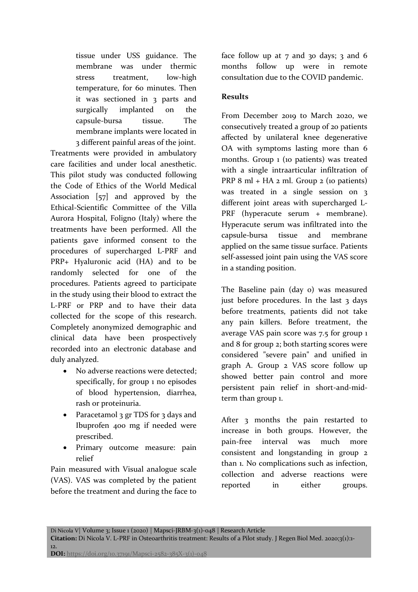tissue under USS guidance. The membrane was under thermic stress treatment, low-high temperature, for 60 minutes. Then it was sectioned in 3 parts and surgically implanted on the capsule-bursa tissue. The membrane implants were located in 3 different painful areas of the joint.

Treatments were provided in ambulatory care facilities and under local anesthetic. This pilot study was conducted following the Code of Ethics of the World Medical Association [57] and approved by the Ethical-Scientific Committee of the Villa Aurora Hospital, Foligno (Italy) where the treatments have been performed. All the patients gave informed consent to the procedures of supercharged L-PRF and PRP+ Hyaluronic acid (HA) and to be randomly selected for one of the procedures. Patients agreed to participate in the study using their blood to extract the L-PRF or PRP and to have their data collected for the scope of this research. Completely anonymized demographic and clinical data have been prospectively recorded into an electronic database and duly analyzed.

- No adverse reactions were detected; specifically, for group 1 no episodes of blood hypertension, diarrhea, rash or proteinuria.
- Paracetamol 3 gr TDS for 3 days and Ibuprofen 400 mg if needed were prescribed.
- Primary outcome measure: pain relief

Pain measured with Visual analogue scale (VAS). VAS was completed by the patient before the treatment and during the face to face follow up at  $7$  and 30 days;  $3$  and 6 months follow up were in remote consultation due to the COVID pandemic.

### **Results**

From December 2019 to March 2020, we consecutively treated a group of 20 patients affected by unilateral knee degenerative OA with symptoms lasting more than 6 months. Group 1 (10 patients) was treated with a single intraarticular infiltration of PRP 8 ml + HA 2 ml. Group 2 (10 patients) was treated in a single session on 3 different joint areas with supercharged L-PRF (hyperacute serum + membrane). Hyperacute serum was infiltrated into the capsule-bursa tissue and membrane applied on the same tissue surface. Patients self-assessed joint pain using the VAS score in a standing position.

The Baseline pain (day 0) was measured just before procedures. In the last  $3$  days before treatments, patients did not take any pain killers. Before treatment, the average VAS pain score was 7.5 for group 1 and 8 for group 2; both starting scores were considered "severe pain" and unified in graph A. Group 2 VAS score follow up showed better pain control and more persistent pain relief in short-and-midterm than group 1.

After 3 months the pain restarted to increase in both groups. However, the pain-free interval was much more consistent and longstanding in group 2 than 1. No complications such as infection, collection and adverse reactions were reported in either groups.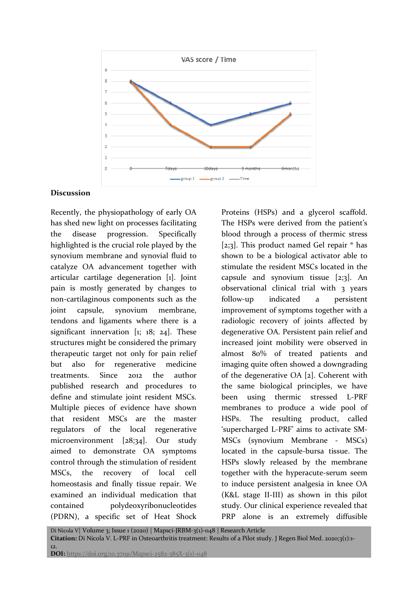

#### **Discussion**

Recently, the physiopathology of early OA has shed new light on processes facilitating the disease progression. Specifically highlighted is the crucial role played by the synovium membrane and synovial fluid to catalyze OA advancement together with articular cartilage degeneration [1]. Joint pain is mostly generated by changes to non-cartilaginous components such as the joint capsule, synovium membrane, tendons and ligaments where there is a significant innervation [1; 18; 24]. These structures might be considered the primary therapeutic target not only for pain relief but also for regenerative medicine treatments. Since 2012 the author published research and procedures to define and stimulate joint resident MSCs. Multiple pieces of evidence have shown that resident MSCs are the master regulators of the local regenerative microenvironment [28;34]. Our study aimed to demonstrate OA symptoms control through the stimulation of resident MSCs, the recovery of local cell homeostasis and finally tissue repair. We examined an individual medication that contained polydeoxyribonucleotides (PDRN), a specific set of Heat Shock

Proteins (HSPs) and a glycerol scaffold. The HSPs were derived from the patient's blood through a process of thermic stress [2;3]. This product named Gel repair  $\textdegree$  has shown to be a biological activator able to stimulate the resident MSCs located in the capsule and synovium tissue  $[2,3]$ . An observational clinical trial with 3 years follow-up indicated a persistent improvement of symptoms together with a radiologic recovery of joints affected by degenerative OA. Persistent pain relief and increased joint mobility were observed in almost 80% of treated patients and imaging quite often showed a downgrading of the degenerative OA [2]. Coherent with the same biological principles, we have been using thermic stressed L-PRF membranes to produce a wide pool of HSPs. The resulting product, called 'supercharged L-PRF' aims to activate SM-MSCs (synovium Membrane - MSCs) located in the capsule-bursa tissue. The HSPs slowly released by the membrane together with the hyperacute-serum seem to induce persistent analgesia in knee OA (K&L stage II-III) as shown in this pilot study. Our clinical experience revealed that PRP alone is an extremely diffusible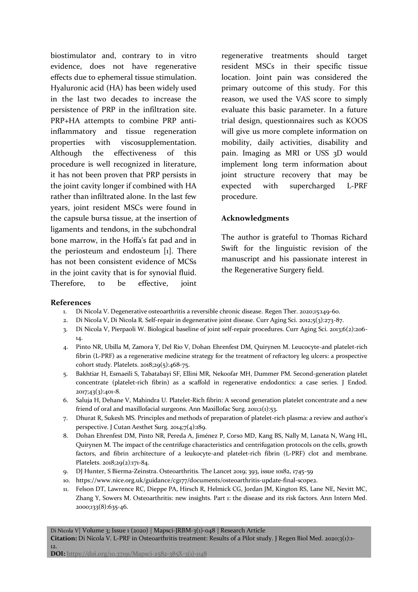biostimulator and, contrary to in vitro evidence, does not have regenerative effects due to ephemeral tissue stimulation. Hyaluronic acid (HA) has been widely used in the last two decades to increase the persistence of PRP in the infiltration site. PRP+HA attempts to combine PRP antiinflammatory and tissue regeneration properties with viscosupplementation. Although the effectiveness of this procedure is well recognized in literature, it has not been proven that PRP persists in the joint cavity longer if combined with HA rather than infiltrated alone. In the last few years, joint resident MSCs were found in the capsule bursa tissue, at the insertion of ligaments and tendons, in the subchondral bone marrow, in the Hoffa's fat pad and in the periosteum and endosteum [1]. There has not been consistent evidence of MCSs in the joint cavity that is for synovial fluid. Therefore, to be effective, joint

regenerative treatments should target resident MSCs in their specific tissue location. Joint pain was considered the primary outcome of this study. For this reason, we used the VAS score to simply evaluate this basic parameter. In a future trial design, questionnaires such as KOOS will give us more complete information on mobility, daily activities, disability and pain. Imaging as MRI or USS 3D would implement long term information about joint structure recovery that may be expected with supercharged L-PRF procedure.

#### **Acknowledgments**

The author is grateful to Thomas Richard Swift for the linguistic revision of the manuscript and his passionate interest in the Regenerative Surgery field.

#### **References**

- 1. Di Nicola V. Degenerative osteoarthritis a reversible chronic disease. Regen Ther. 2020;15:149-60.
- 2. Di Nicola V, Di Nicola R. Self-repair in degenerative joint disease. Curr Aging Sci. 2012;5(3):273-87.
- 3. Di Nicola V, Pierpaoli W. Biological baseline of joint self-repair procedures. Curr Aging Sci. 2013;6(2):206- 14.
- 4. Pinto NR, Ubilla M, Zamora Y, Del Rio V, Dohan Ehrenfest DM, Quirynen M. Leucocyte-and platelet-rich fibrin (L-PRF) as a regenerative medicine strategy for the treatment of refractory leg ulcers: a prospective cohort study. Platelets. 2018;29(5):468-75.
- 5. Bakhtiar H, Esmaeili S, Tabatabayi SF, Ellini MR, Nekoofar MH, Dummer PM. Second-generation platelet concentrate (platelet-rich fibrin) as a scaffold in regenerative endodontics: a case series. J Endod. 2017;43(3):401-8.
- 6. Saluja H, Dehane V, Mahindra U. Platelet-Rich fibrin: A second generation platelet concentrate and a new friend of oral and maxillofacial surgeons. Ann Maxillofac Surg. 2011;1(1):53.
- 7. Dhurat R, Sukesh MS. Principles and methods of preparation of platelet-rich plasma: a review and author's perspective. J Cutan Aesthet Surg. 2014;7(4):189.
- 8. Dohan Ehrenfest DM, Pinto NR, Pereda A, Jiménez P, Corso MD, Kang BS, Nally M, Lanata N, Wang HL, Quirynen M. The impact of the centrifuge characteristics and centrifugation protocols on the cells, growth factors, and fibrin architecture of a leukocyte-and platelet-rich fibrin (L-PRF) clot and membrane. Platelets. 2018;29(2):171-84.
- 9. DJ Hunter, S Bierma-Zeinstra. Osteoarthritis. The Lancet 2019; 393, issue 10182, 1745-59
- 10. [https://www.nice.org.uk/guidance/cg177/documents/osteoarthritis-update-final-scope2.](https://www.nice.org.uk/guidance/cg177/documents/osteoarthritis-update-final-scope2)
- 11. Felson DT, Lawrence RC, Dieppe PA, Hirsch R, Helmick CG, Jordan JM, Kington RS, Lane NE, Nevitt MC, Zhang Y, Sowers M. Osteoarthritis: new insights. Part 1: the disease and its risk factors. Ann Intern Med. 2000;133(8):635-46.

Di Nicola V| Volume 3; Issue 1 (2020) | Mapsci-JRBM-3(1)-048 | Research Article **Citation:** Di Nicola V. L-PRF in Osteoarthritis treatment: Results of a Pilot study. J Regen Biol Med. 2020;3(1):1- 12.

**DOI:** https://doi.org/10.37191/Mapsci-2582-385X-3(1)-048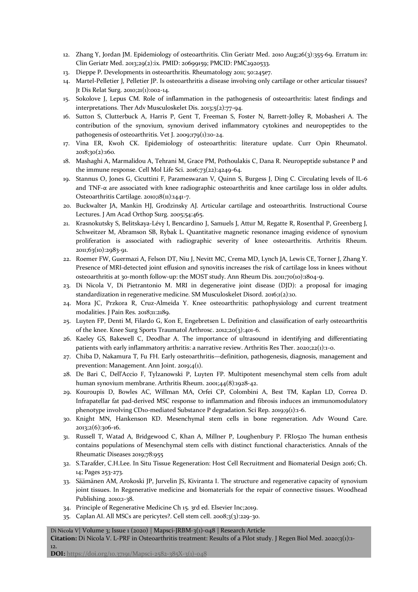- 12. Zhang Y, Jordan JM. Epidemiology of osteoarthritis. Clin Geriatr Med. 2010 Aug;26(3):355-69. Erratum in: Clin Geriatr Med. 2013;29(2):ix. PMID: 20699159; PMCID: PMC2920533.
- 13. Dieppe P. Developments in osteoarthritis. Rheumatology 2011; 50:245e7.
- 14. Martel-Pelletier J, Pelletier JP. Is osteoarthritis a disease involving only cartilage or other articular tissues? Jt Dis Relat Surg. 2010;21(1):002-14.
- 15. Sokolove J, Lepus CM. Role of inflammation in the pathogenesis of osteoarthritis: latest findings and interpretations. Ther Adv Musculoskelet Dis. 2013;5(2):77-94.
- 16. Sutton S, Clutterbuck A, Harris P, Gent T, Freeman S, Foster N, Barrett-Jolley R, Mobasheri A. The contribution of the synovium, synovium derived inflammatory cytokines and neuropeptides to the pathogenesis of osteoarthritis. Vet J. 2009;179(1):10-24.
- 17. Vina ER, Kwoh CK. Epidemiology of osteoarthritis: literature update. Curr Opin Rheumatol. 2018;30(2):160.
- 18. Mashaghi A, Marmalidou A, Tehrani M, Grace PM, Pothoulakis C, Dana R. Neuropeptide substance P and the immune response. Cell Mol Life Sci. 2016;73(22):4249-64.
- 19. Stannus O, Jones G, Cicuttini F, Parameswaran V, Quinn S, Burgess J, Ding C. Circulating levels of IL-6 and TNF- $\alpha$  are associated with knee radiographic osteoarthritis and knee cartilage loss in older adults. Osteoarthritis Cartilage. 2010;18(11):1441-7.
- 20. Buckwalter JA, Mankin HJ, Grodzinsky AJ. Articular cartilage and osteoarthritis. Instructional Course Lectures. J Am Acad Orthop Surg. 2005;54:465.
- 21. Krasnokutsky S, Belitskaya‐Lévy I, Bencardino J, Samuels J, Attur M, Regatte R, Rosenthal P, Greenberg J, Schweitzer M, Abramson SB, Rybak L. Quantitative magnetic resonance imaging evidence of synovium proliferation is associated with radiographic severity of knee osteoarthritis. Arthritis Rheum. 2011;63(10):2983-91.
- 22. Roemer FW, Guermazi A, Felson DT, Niu J, Nevitt MC, Crema MD, Lynch JA, Lewis CE, Torner J, Zhang Y. Presence of MRI-detected joint effusion and synovitis increases the risk of cartilage loss in knees without osteoarthritis at 30-month follow-up: the MOST study. Ann Rheum Dis. 2011;70(10):1804-9.
- 23. Di Nicola V, Di Pietrantonio M. MRI in degenerative joint disease (DJD): a proposal for imaging standardization in regenerative medicine. SM Musculoskelet Disord. 2016;1(2):10.
- 24. Mora JC, Przkora R, Cruz-Almeida Y. Knee osteoarthritis: pathophysiology and current treatment modalities. J Pain Res. 2018;11:2189.
- 25. Luyten FP, Denti M, Filardo G, Kon E, Engebretsen L. Definition and classification of early osteoarthritis of the knee. Knee Surg Sports Traumatol Arthrosc. 2012;20(3):401-6.
- 26. Kaeley GS, Bakewell C, Deodhar A. The importance of ultrasound in identifying and differentiating patients with early inflammatory arthritis: a narrative review. Arthritis Res Ther. 2020;22(1):1-0.
- 27. Chiba D, Nakamura T, Fu FH. Early osteoarthritis—definition, pathogenesis, diagnosis, management and prevention: Management. Ann Joint. 2019;4(1).
- 28. De Bari C, Dell'Accio F, Tylzanowski P, Luyten FP. Multipotent mesenchymal stem cells from adult human synovium membrane. Arthritis Rheum. 2001;44(8):1928-42.
- 29. Kouroupis D, Bowles AC, Willman MA, Orfei CP, Colombini A, Best TM, Kaplan LD, Correa D. Infrapatellar fat pad-derived MSC response to inflammation and fibrosis induces an immunomodulatory phenotype involving CD10-mediated Substance P degradation. Sci Rep. 2019;9(1):1-6.
- 30. Knight MN, Hankenson KD. Mesenchymal stem cells in bone regeneration. Adv Wound Care. 2013;2(6):306-16.
- 31. Russell T, Watad A, Bridgewood C, Khan A, Millner P, Loughenbury P. FRI0520 The human enthesis contains populations of Mesenchymal stem cells with distinct functional characteristics. Annals of the Rheumatic Diseases 2019;78:955
- 32. S.Tarafder, C.H.Lee. In Situ Tissue Regeneration: Host Cell Recruitment and Biomaterial Design 2016; Ch. 14; Pages 253-273.
- 33. Säämänen AM, Arokoski JP, Jurvelin JS, Kiviranta I. The structure and regenerative capacity of synovium joint tissues. In Regenerative medicine and biomaterials for the repair of connective tissues. Woodhead Publishing. 2010;1-38.
- 34. Principle of Regenerative Medicine Ch 15. 3rd ed. Elsevier Inc;2019.
- 35. Caplan AI. All MSCs are pericytes?. Cell stem cell. 2008;3(3):229-30.

#### Di Nicola V| Volume 3; Issue 1 (2020) | Mapsci-JRBM-3(1)-048 | Research Article

**Citation:** Di Nicola V. L-PRF in Osteoarthritis treatment: Results of a Pilot study. J Regen Biol Med. 2020;3(1):1-

**DOI:** https://doi.org/10.37191/Mapsci-2582-385X-3(1)-048

12.